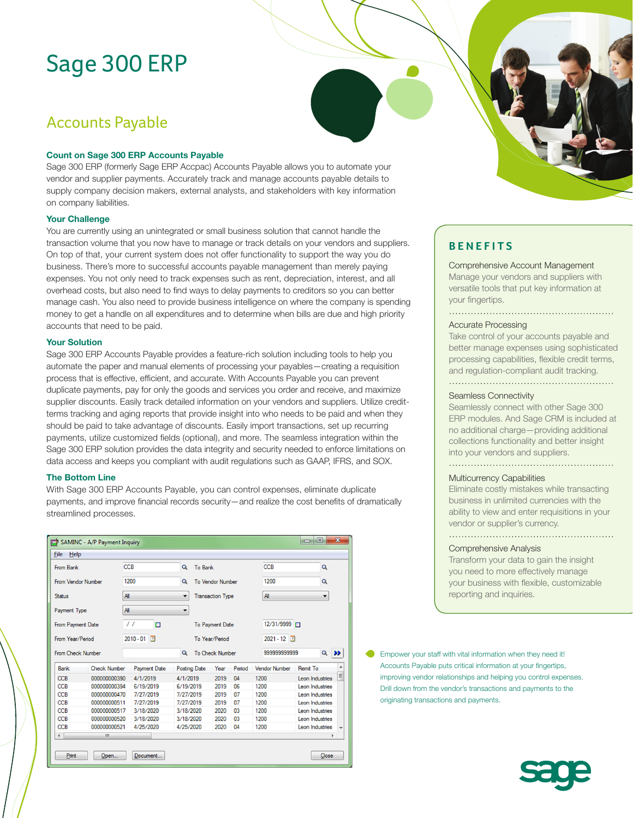# Sage 300 ERP

# Accounts Payable

### **Count on Sage 300 ERP Accounts Payable**

Sage 300 ERP (formerly Sage ERP Accpac) Accounts Payable allows you to automate your vendor and supplier payments. Accurately track and manage accounts payable details to supply company decision makers, external analysts, and stakeholders with key information on company liabilities.

### **Your Challenge**

You are currently using an unintegrated or small business solution that cannot handle the transaction volume that you now have to manage or track details on your vendors and suppliers. On top of that, your current system does not offer functionality to support the way you do business. There's more to successful accounts payable management than merely paying expenses. You not only need to track expenses such as rent, depreciation, interest, and all overhead costs, but also need to find ways to delay payments to creditors so you can better manage cash. You also need to provide business intelligence on where the company is spending money to get a handle on all expenditures and to determine when bills are due and high priority accounts that need to be paid.

#### **Your Solution**

Sage 300 ERP Accounts Payable provides a feature-rich solution including tools to help you automate the paper and manual elements of processing your payables—creating a requisition process that is effective, efficient, and accurate. With Accounts Payable you can prevent duplicate payments, pay for only the goods and services you order and receive, and maximize supplier discounts. Easily track detailed information on your vendors and suppliers. Utilize creditterms tracking and aging reports that provide insight into who needs to be paid and when they should be paid to take advantage of discounts. Easily import transactions, set up recurring payments, utilize customized fields (optional), and more. The seamless integration within the Sage 300 ERP solution provides the data integrity and security needed to enforce limitations on data access and keeps you compliant with audit regulations such as GAAP, IFRS, and SOX.

### **The Bottom Line**

With Sage 300 ERP Accounts Payable, you can control expenses, eliminate duplicate payments, and improve financial records security—and realize the cost benefits of dramatically streamlined processes.

| $\mathbf{x}$<br>回<br>SAMINC - A/P Payment Inquiry<br>E |                     |                     |  |                                    |                         |      |                |                      |                                |   |  |
|--------------------------------------------------------|---------------------|---------------------|--|------------------------------------|-------------------------|------|----------------|----------------------|--------------------------------|---|--|
| File<br>Help                                           |                     |                     |  |                                    |                         |      |                |                      |                                |   |  |
| From Bank                                              |                     | <b>CCB</b>          |  | $\mathbf{Q}$                       | <b>To Bank</b>          |      |                | <b>CCB</b>           | Q                              |   |  |
| From Vendor Number                                     |                     | 1200                |  | Q                                  | <b>To Vendor Number</b> |      |                | 1200                 | Q                              |   |  |
| <b>Status</b>                                          |                     | All                 |  | ۰                                  | <b>Transaction Type</b> |      |                | All                  | ۰                              |   |  |
| <b>Payment Type</b>                                    |                     | All                 |  | ▼                                  |                         |      |                |                      |                                |   |  |
| From Payment Date                                      |                     | $\prime\prime$<br>⊡ |  |                                    | <b>To Payment Date</b>  |      |                |                      | 12/31/9999 FT                  |   |  |
| From Year/Period                                       |                     | $2010 - 01$ 2       |  | To Year/Period                     |                         |      |                |                      | $2021 - 12$                    |   |  |
| From Check Number                                      |                     |                     |  | $\alpha$<br><b>To Check Number</b> |                         |      |                |                      | 99999999999<br>$Q \rightarrow$ |   |  |
| <b>Bank</b>                                            | <b>Check Number</b> | <b>Payment Date</b> |  |                                    | <b>Posting Date</b>     | Year | Period         | <b>Vendor Number</b> | Remit To                       | A |  |
| <b>CCB</b>                                             | 000000000390        | 4/1/2019            |  | 4/1/2019                           |                         | 2019 | 04             | 1200                 | Leon Industries                | Ξ |  |
| <b>CCB</b>                                             | 000000000394        | 6/19/2019           |  | 6/19/2019                          |                         | 2019 | 06             | 1200                 | Leon Industries                |   |  |
| CCB                                                    | 000000000470        | 7/27/2019           |  | 7/27/2019                          |                         | 2019 | 07             | 1200                 | Leon Industries                |   |  |
| <b>CCB</b>                                             | 000000000511        | 7/27/2019           |  | 7/27/2019                          |                         | 2019 | 07             | 1200                 | Leon Industries                |   |  |
| <b>CCB</b>                                             | 000000000517        | 3/18/2020           |  | 3/18/2020                          |                         | 2020 | 03             | 1200                 | Leon Industries                |   |  |
| <b>CCB</b>                                             | 000000000520        | 3/18/2020           |  | 3/18/2020                          |                         | 2020 | 0 <sub>3</sub> | 1200                 | Leon Industries                |   |  |
| CCB                                                    | 000000000521        | 4/25/2020           |  | 4/25/2020                          |                         | 2020 | 04             | 1200                 | Leon Industries                | ٠ |  |
| $\overline{\phantom{a}}$                               | m                   |                     |  |                                    |                         |      |                |                      |                                | ٠ |  |
| Print<br>Open<br>Document<br>Close                     |                     |                     |  |                                    |                         |      |                |                      |                                |   |  |



# **BENEFITS**

Comprehensive Account Management Manage your vendors and suppliers with versatile tools that put key information at your fingertips.

### Accurate Processing

Take control of your accounts payable and better manage expenses using sophisticated processing capabilities, flexible credit terms, and regulation-compliant audit tracking. 

#### Seamless Connectivity

Seamlessly connect with other Sage 300 ERP modules. And Sage CRM is included at no additional charge—providing additional collections functionality and better insight into your vendors and suppliers.

## Multicurrency Capabilities

Eliminate costly mistakes while transacting business in unlimited currencies with the ability to view and enter requisitions in your vendor or supplier's currency.

#### Comprehensive Analysis

Transform your data to gain the insight you need to more effectively manage your business with flexible, customizable reporting and inquiries.

Empower your staff with vital information when they need it! Accounts Payable puts critical information at your fingertips, improving vendor relationships and helping you control expenses. Drill down from the vendor's transactions and payments to the originating transactions and payments.